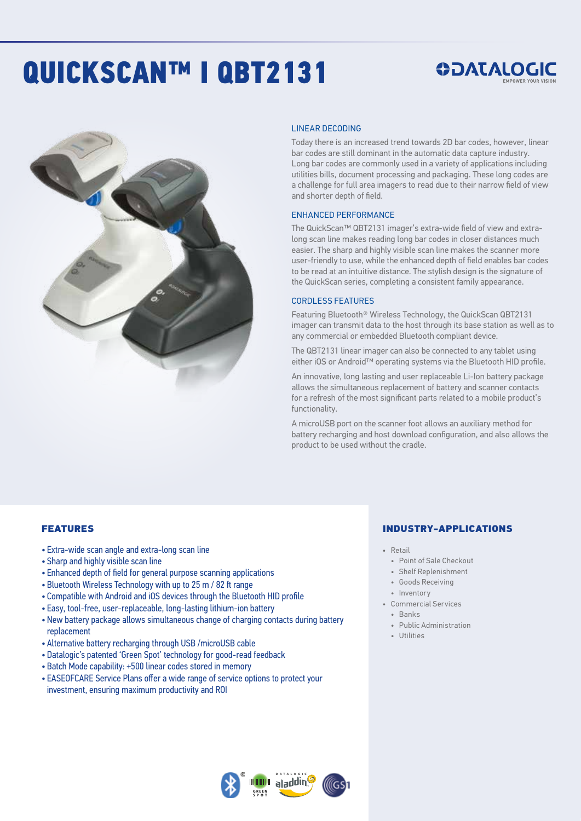# QUICKSCAN™ I QBT2131





#### LINEAR DECODING

Today there is an increased trend towards 2D bar codes, however, linear bar codes are still dominant in the automatic data capture industry. Long bar codes are commonly used in a variety of applications including utilities bills, document processing and packaging. These long codes are a challenge for full area imagers to read due to their narrow field of view and shorter depth of field.

#### ENHANCED PERFORMANCE

The QuickScan™ QBT2131 imager's extra-wide field of view and extralong scan line makes reading long bar codes in closer distances much easier. The sharp and highly visible scan line makes the scanner more user-friendly to use, while the enhanced depth of field enables bar codes to be read at an intuitive distance. The stylish design is the signature of the QuickScan series, completing a consistent family appearance.

#### CORDLESS FEATURES

Featuring Bluetooth® Wireless Technology, the QuickScan QBT2131 imager can transmit data to the host through its base station as well as to any commercial or embedded Bluetooth compliant device.

The QBT2131 linear imager can also be connected to any tablet using either iOS or Android™ operating systems via the Bluetooth HID profile.

An innovative, long lasting and user replaceable Li-Ion battery package allows the simultaneous replacement of battery and scanner contacts for a refresh of the most significant parts related to a mobile product's functionality.

A microUSB port on the scanner foot allows an auxiliary method for battery recharging and host download configuration, and also allows the product to be used without the cradle.

# FEATURES

- Extra-wide scan angle and extra-long scan line
- Sharp and highly visible scan line
- Enhanced depth of field for general purpose scanning applications
- Bluetooth Wireless Technology with up to 25 m / 82 ft range
- Compatible with Android and iOS devices through the Bluetooth HID profile
- Easy, tool-free, user-replaceable, long-lasting lithium-ion battery
- New battery package allows simultaneous change of charging contacts during battery replacement
- Alternative battery recharging through USB /microUSB cable
- Datalogic's patented 'Green Spot' technology for good-read feedback
- Batch Mode capability: +500 linear codes stored in memory
- EASEOFCARE Service Plans offer a wide range of service options to protect your investment, ensuring maximum productivity and ROI



### INDUSTRY-APPLICATIONS

- Retail
- Point of Sale Checkout
- Shelf Replenishment
- Goods Receiving
- Inventory
- Commercial Services
	- Banks
- Public Administration
- Utilities